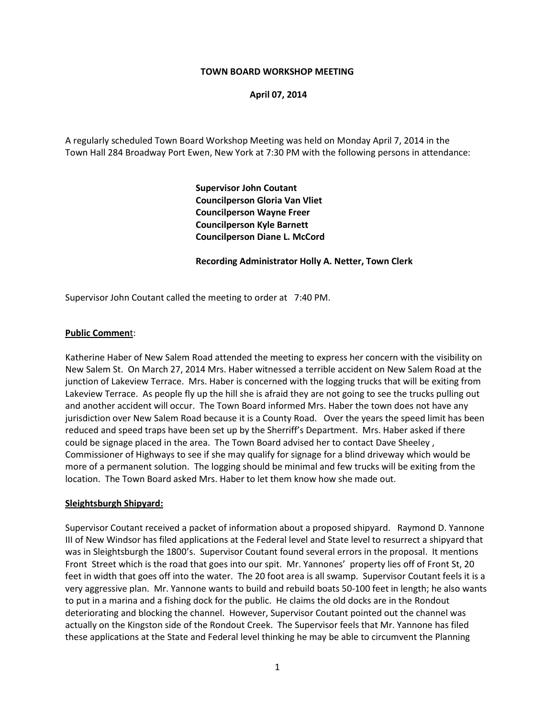### **TOWN BOARD WORKSHOP MEETING**

### **April 07, 2014**

A regularly scheduled Town Board Workshop Meeting was held on Monday April 7, 2014 in the Town Hall 284 Broadway Port Ewen, New York at 7:30 PM with the following persons in attendance:

> **Supervisor John Coutant Councilperson Gloria Van Vliet Councilperson Wayne Freer Councilperson Kyle Barnett Councilperson Diane L. McCord**

#### **Recording Administrator Holly A. Netter, Town Clerk**

Supervisor John Coutant called the meeting to order at 7:40 PM.

### **Public Commen**t:

Katherine Haber of New Salem Road attended the meeting to express her concern with the visibility on New Salem St. On March 27, 2014 Mrs. Haber witnessed a terrible accident on New Salem Road at the junction of Lakeview Terrace. Mrs. Haber is concerned with the logging trucks that will be exiting from Lakeview Terrace. As people fly up the hill she is afraid they are not going to see the trucks pulling out and another accident will occur. The Town Board informed Mrs. Haber the town does not have any jurisdiction over New Salem Road because it is a County Road. Over the years the speed limit has been reduced and speed traps have been set up by the Sherriff's Department. Mrs. Haber asked if there could be signage placed in the area. The Town Board advised her to contact Dave Sheeley , Commissioner of Highways to see if she may qualify for signage for a blind driveway which would be more of a permanent solution. The logging should be minimal and few trucks will be exiting from the location. The Town Board asked Mrs. Haber to let them know how she made out.

#### **Sleightsburgh Shipyard:**

Supervisor Coutant received a packet of information about a proposed shipyard. Raymond D. Yannone III of New Windsor has filed applications at the Federal level and State level to resurrect a shipyard that was in Sleightsburgh the 1800's. Supervisor Coutant found several errors in the proposal. It mentions Front Street which is the road that goes into our spit. Mr. Yannones' property lies off of Front St, 20 feet in width that goes off into the water. The 20 foot area is all swamp. Supervisor Coutant feels it is a very aggressive plan. Mr. Yannone wants to build and rebuild boats 50-100 feet in length; he also wants to put in a marina and a fishing dock for the public. He claims the old docks are in the Rondout deteriorating and blocking the channel. However, Supervisor Coutant pointed out the channel was actually on the Kingston side of the Rondout Creek. The Supervisor feels that Mr. Yannone has filed these applications at the State and Federal level thinking he may be able to circumvent the Planning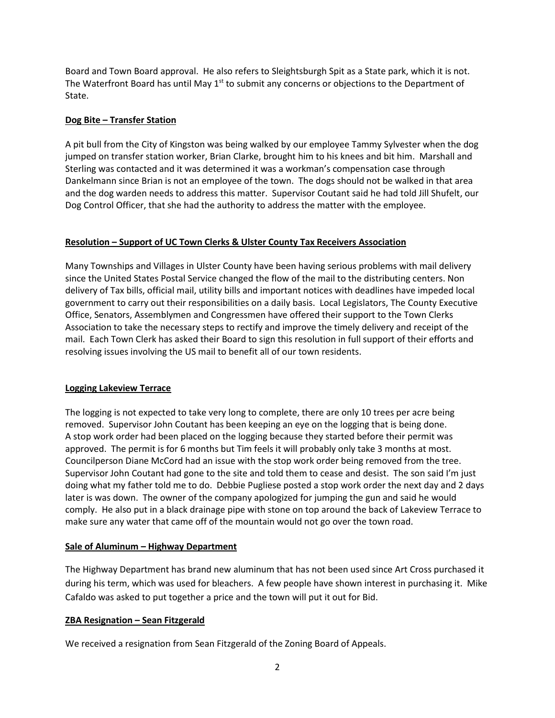Board and Town Board approval. He also refers to Sleightsburgh Spit as a State park, which it is not. The Waterfront Board has until May  $1<sup>st</sup>$  to submit any concerns or objections to the Department of State.

## **Dog Bite – Transfer Station**

A pit bull from the City of Kingston was being walked by our employee Tammy Sylvester when the dog jumped on transfer station worker, Brian Clarke, brought him to his knees and bit him. Marshall and Sterling was contacted and it was determined it was a workman's compensation case through Dankelmann since Brian is not an employee of the town. The dogs should not be walked in that area and the dog warden needs to address this matter. Supervisor Coutant said he had told Jill Shufelt, our Dog Control Officer, that she had the authority to address the matter with the employee.

## **Resolution – Support of UC Town Clerks & Ulster County Tax Receivers Association**

Many Townships and Villages in Ulster County have been having serious problems with mail delivery since the United States Postal Service changed the flow of the mail to the distributing centers. Non delivery of Tax bills, official mail, utility bills and important notices with deadlines have impeded local government to carry out their responsibilities on a daily basis. Local Legislators, The County Executive Office, Senators, Assemblymen and Congressmen have offered their support to the Town Clerks Association to take the necessary steps to rectify and improve the timely delivery and receipt of the mail. Each Town Clerk has asked their Board to sign this resolution in full support of their efforts and resolving issues involving the US mail to benefit all of our town residents.

# **Logging Lakeview Terrace**

The logging is not expected to take very long to complete, there are only 10 trees per acre being removed. Supervisor John Coutant has been keeping an eye on the logging that is being done. A stop work order had been placed on the logging because they started before their permit was approved. The permit is for 6 months but Tim feels it will probably only take 3 months at most. Councilperson Diane McCord had an issue with the stop work order being removed from the tree. Supervisor John Coutant had gone to the site and told them to cease and desist. The son said I'm just doing what my father told me to do. Debbie Pugliese posted a stop work order the next day and 2 days later is was down. The owner of the company apologized for jumping the gun and said he would comply. He also put in a black drainage pipe with stone on top around the back of Lakeview Terrace to make sure any water that came off of the mountain would not go over the town road.

## **Sale of Aluminum – Highway Department**

The Highway Department has brand new aluminum that has not been used since Art Cross purchased it during his term, which was used for bleachers. A few people have shown interest in purchasing it. Mike Cafaldo was asked to put together a price and the town will put it out for Bid.

# **ZBA Resignation – Sean Fitzgerald**

We received a resignation from Sean Fitzgerald of the Zoning Board of Appeals.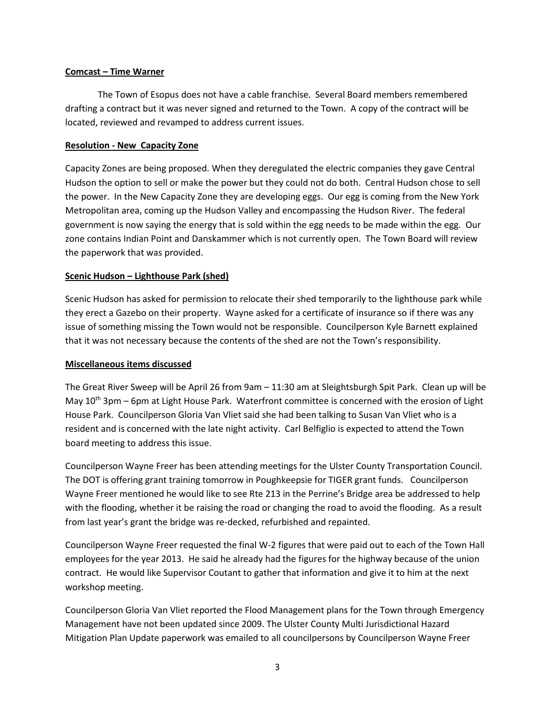### **Comcast – Time Warner**

The Town of Esopus does not have a cable franchise. Several Board members remembered drafting a contract but it was never signed and returned to the Town. A copy of the contract will be located, reviewed and revamped to address current issues.

### **Resolution - New Capacity Zone**

Capacity Zones are being proposed. When they deregulated the electric companies they gave Central Hudson the option to sell or make the power but they could not do both. Central Hudson chose to sell the power. In the New Capacity Zone they are developing eggs. Our egg is coming from the New York Metropolitan area, coming up the Hudson Valley and encompassing the Hudson River. The federal government is now saying the energy that is sold within the egg needs to be made within the egg. Our zone contains Indian Point and Danskammer which is not currently open. The Town Board will review the paperwork that was provided.

### **Scenic Hudson – Lighthouse Park (shed)**

Scenic Hudson has asked for permission to relocate their shed temporarily to the lighthouse park while they erect a Gazebo on their property. Wayne asked for a certificate of insurance so if there was any issue of something missing the Town would not be responsible. Councilperson Kyle Barnett explained that it was not necessary because the contents of the shed are not the Town's responsibility.

### **Miscellaneous items discussed**

The Great River Sweep will be April 26 from 9am – 11:30 am at Sleightsburgh Spit Park. Clean up will be May  $10<sup>th</sup>$  3pm – 6pm at Light House Park. Waterfront committee is concerned with the erosion of Light House Park. Councilperson Gloria Van Vliet said she had been talking to Susan Van Vliet who is a resident and is concerned with the late night activity. Carl Belfiglio is expected to attend the Town board meeting to address this issue.

Councilperson Wayne Freer has been attending meetings for the Ulster County Transportation Council. The DOT is offering grant training tomorrow in Poughkeepsie for TIGER grant funds. Councilperson Wayne Freer mentioned he would like to see Rte 213 in the Perrine's Bridge area be addressed to help with the flooding, whether it be raising the road or changing the road to avoid the flooding. As a result from last year's grant the bridge was re-decked, refurbished and repainted.

Councilperson Wayne Freer requested the final W-2 figures that were paid out to each of the Town Hall employees for the year 2013. He said he already had the figures for the highway because of the union contract. He would like Supervisor Coutant to gather that information and give it to him at the next workshop meeting.

Councilperson Gloria Van Vliet reported the Flood Management plans for the Town through Emergency Management have not been updated since 2009. The Ulster County Multi Jurisdictional Hazard Mitigation Plan Update paperwork was emailed to all councilpersons by Councilperson Wayne Freer